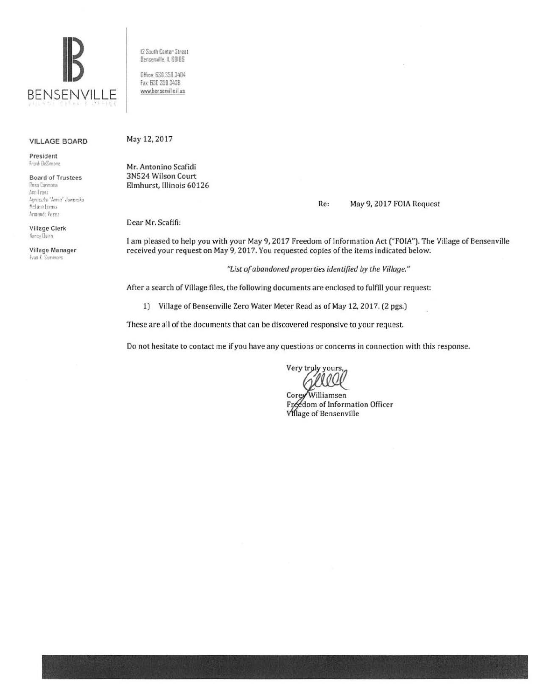

## **VILLAGE BOARD**

President Frank DeSimone

**Board of Trustees** Rosa Carmona Ann Franz Agnieszka "Annie" Jaworska McLane Lomax Armando Perez

Village Clerk Nancy Duinn

Village Manager Evan K. Sommers

12 South Center Street Bensenville, IL 60106

Office: 630.350.3404 Fax: 630 350 3438 www.bensenville.il us

## May 12, 2017

Mr. Antonino Scafidi 3N524 Wilson Court Elmhurst, Illinois 60126

## Re: May 9, 2017 FOIA Request

Dear Mr. Scafifi:

I am pleased to help you with your May 9, 2017 Freedom of Information Act ("FOIA"). The Village of Bensenville received your request on May 9, 2017. You requested copies of the items indicated below:

"List of abandoned properties identified by the Village."

After a search of Village files, the following documents are enclosed to fulfill your request:

1) Village of Bensenville Zero Water Meter Read as of May 12, 2017. (2 pgs.)

These are all of the documents that can be discovered responsive to your request.

Do not hesitate to contact me if you have any questions or concerns in connection with this response.

Very truly yours,

Corey Williamsen Freedom of Information Officer **Village of Bensenville**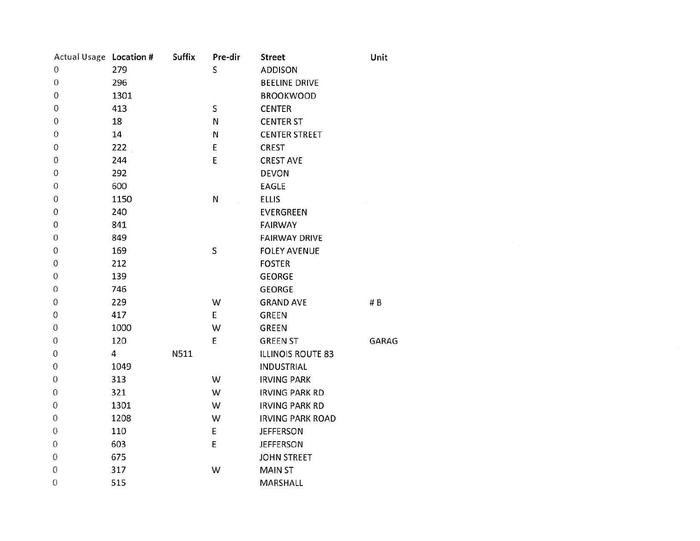| Actual Usage Location # |                | <b>Suffix</b> | Pre-dir      | <b>Street</b>            | Unit  |
|-------------------------|----------------|---------------|--------------|--------------------------|-------|
| $\mathbf 0$             | 279            |               | S            | <b>ADDISON</b>           |       |
| $\boldsymbol{0}$        | 296            |               |              | <b>BEELINE DRIVE</b>     |       |
| 0                       | 1301           |               |              | <b>BROOKWOOD</b>         |       |
| $\boldsymbol{0}$        | 413            |               | S            | <b>CENTER</b>            |       |
| 0                       | 18             |               | ${\sf N}$    | <b>CENTER ST</b>         |       |
| $\boldsymbol{0}$        | 14             |               | N            | <b>CENTER STREET</b>     |       |
| $\boldsymbol{0}$        | 222            |               | E            | <b>CREST</b>             |       |
| 0                       | 244            |               | E            | <b>CREST AVE</b>         |       |
| 0                       | 292            |               |              | <b>DEVON</b>             |       |
| $\boldsymbol{0}$        | 600            |               |              | EAGLE                    |       |
| $\mathbf 0$             | 1150           |               | ${\sf N}$    | <b>ELLIS</b>             |       |
| $\mathbf 0$             | 240            |               |              | <b>EVERGREEN</b>         |       |
| 0                       | 841            |               |              | <b>FAIRWAY</b>           |       |
| 0                       | 849            |               |              | <b>FAIRWAY DRIVE</b>     |       |
| 0                       | 169            |               | $\mathsf{S}$ | <b>FOLEY AVENUE</b>      |       |
| $\mathbf 0$             | 212            |               |              | <b>FOSTER</b>            |       |
| 0                       | 139            |               |              | <b>GEORGE</b>            |       |
| $\mathbf{0}$            | 746            |               |              | <b>GEORGE</b>            |       |
| 0                       | 229            |               | W            | <b>GRAND AVE</b>         | #B    |
| $\boldsymbol{0}$        | 417            |               | E            | <b>GREEN</b>             |       |
| $\mathbf 0$             | 1000           |               | W            | <b>GREEN</b>             |       |
| $\mathbf 0$             | 120            |               | E            | <b>GREEN ST</b>          | GARAG |
| $\mathbf 0$             | $\overline{4}$ | N511          |              | <b>ILLINOIS ROUTE 83</b> |       |
| $\boldsymbol{0}$        | 1049           |               |              | <b>INDUSTRIAL</b>        |       |
| $\mathbf 0$             | 313            |               | W            | <b>IRVING PARK</b>       |       |
| $\boldsymbol{0}$        | 321            |               | W            | <b>IRVING PARK RD</b>    |       |
| 0                       | 1301           |               | W            | <b>IRVING PARK RD</b>    |       |
| 0                       | 1208           |               | W            | <b>IRVING PARK ROAD</b>  |       |
| 0                       | 110            |               | E            | <b>JEFFERSON</b>         |       |
| 0                       | 603            |               | E            | <b>JEFFERSON</b>         |       |
| 0                       | 675            |               |              | <b>JOHN STREET</b>       |       |
| $\mathbf{0}$            | 317            |               | W            | <b>MAIN ST</b>           |       |
| $\mathbf 0$             | 515            |               |              | MARSHALL                 |       |